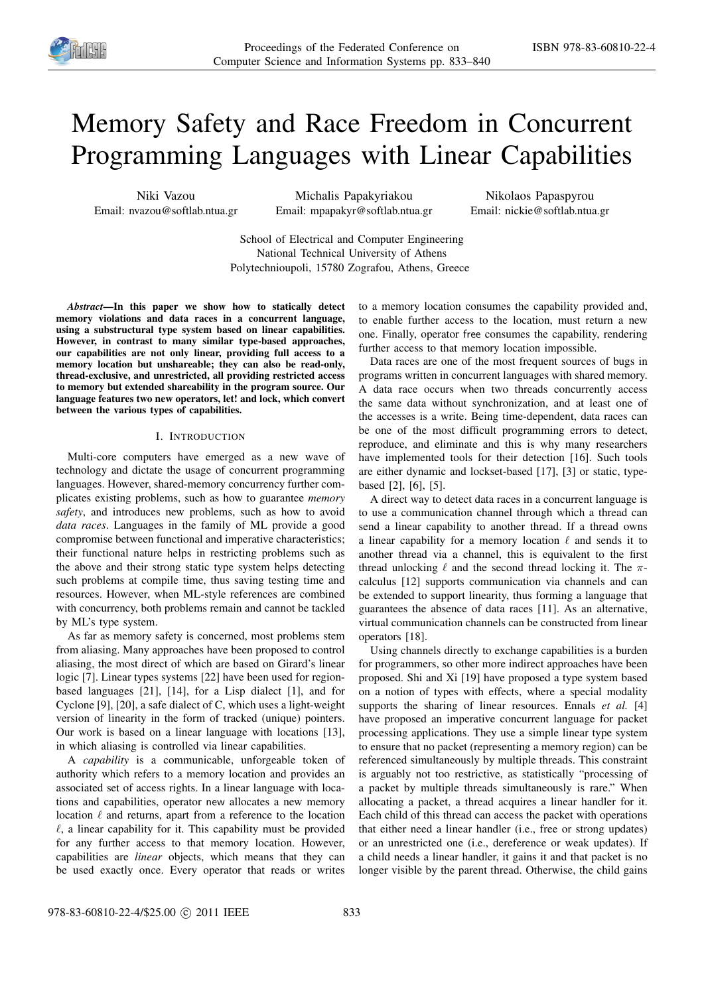

# Memory Safety and Race Freedom in Concurrent Programming Languages with Linear Capabilities

Niki Vazou Email: nvazou@softlab.ntua.gr

Michalis Papakyriakou Email: mpapakyr@softlab.ntua.gr

Nikolaos Papaspyrou Email: nickie@softlab.ntua.gr

School of Electrical and Computer Engineering National Technical University of Athens Polytechnioupoli, 15780 Zografou, Athens, Greece

*Abstract*—In this paper we show how to statically detect memory violations and data races in a concurrent language, using a substructural type system based on linear capabilities. However, in contrast to many similar type-based approaches, our capabilities are not only linear, providing full access to a memory location but unshareable; they can also be read-only, thread-exclusive, and unrestricted, all providing restricted access to memory but extended shareability in the program source. Our language features two new operators, let! and lock, which convert between the various types of capabilities.

# I. INTRODUCTION

Multi-core computers have emerged as a new wave of technology and dictate the usage of concurrent programming languages. However, shared-memory concurrency further complicates existing problems, such as how to guarantee *memory safety*, and introduces new problems, such as how to avoid *data races*. Languages in the family of ML provide a good compromise between functional and imperative characteristics; their functional nature helps in restricting problems such as the above and their strong static type system helps detecting such problems at compile time, thus saving testing time and resources. However, when ML-style references are combined with concurrency, both problems remain and cannot be tackled by ML's type system.

As far as memory safety is concerned, most problems stem from aliasing. Many approaches have been proposed to control aliasing, the most direct of which are based on Girard's linear logic [7]. Linear types systems [22] have been used for regionbased languages [21], [14], for a Lisp dialect [1], and for Cyclone [9], [20], a safe dialect of C, which uses a light-weight version of linearity in the form of tracked (unique) pointers. Our work is based on a linear language with locations [13], in which aliasing is controlled via linear capabilities.

A *capability* is a communicable, unforgeable token of authority which refers to a memory location and provides an associated set of access rights. In a linear language with locations and capabilities, operator new allocates a new memory location  $\ell$  and returns, apart from a reference to the location  $\ell$ , a linear capability for it. This capability must be provided for any further access to that memory location. However, capabilities are *linear* objects, which means that they can be used exactly once. Every operator that reads or writes

to a memory location consumes the capability provided and, to enable further access to the location, must return a new one. Finally, operator free consumes the capability, rendering further access to that memory location impossible.

Data races are one of the most frequent sources of bugs in programs written in concurrent languages with shared memory. A data race occurs when two threads concurrently access the same data without synchronization, and at least one of the accesses is a write. Being time-dependent, data races can be one of the most difficult programming errors to detect, reproduce, and eliminate and this is why many researchers have implemented tools for their detection [16]. Such tools are either dynamic and lockset-based [17], [3] or static, typebased [2], [6], [5].

A direct way to detect data races in a concurrent language is to use a communication channel through which a thread can send a linear capability to another thread. If a thread owns a linear capability for a memory location  $\ell$  and sends it to another thread via a channel, this is equivalent to the first thread unlocking  $\ell$  and the second thread locking it. The  $\pi$ calculus [12] supports communication via channels and can be extended to support linearity, thus forming a language that guarantees the absence of data races [11]. As an alternative, virtual communication channels can be constructed from linear operators [18].

Using channels directly to exchange capabilities is a burden for programmers, so other more indirect approaches have been proposed. Shi and Xi [19] have proposed a type system based on a notion of types with effects, where a special modality supports the sharing of linear resources. Ennals *et al.* [4] have proposed an imperative concurrent language for packet processing applications. They use a simple linear type system to ensure that no packet (representing a memory region) can be referenced simultaneously by multiple threads. This constraint is arguably not too restrictive, as statistically "processing of a packet by multiple threads simultaneously is rare." When allocating a packet, a thread acquires a linear handler for it. Each child of this thread can access the packet with operations that either need a linear handler (i.e., free or strong updates) or an unrestricted one (i.e., dereference or weak updates). If a child needs a linear handler, it gains it and that packet is no longer visible by the parent thread. Otherwise, the child gains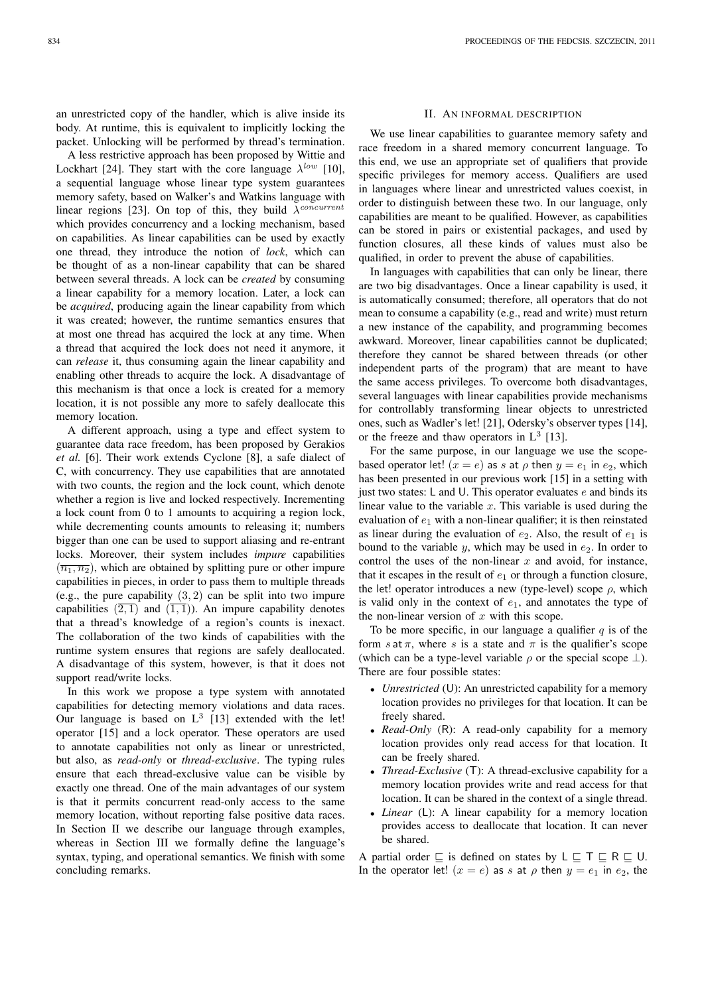A less restrictive approach has been proposed by Wittie and Lockhart [24]. They start with the core language  $\lambda^{low}$  [10], a sequential language whose linear type system guarantees memory safety, based on Walker's and Watkins language with linear regions [23]. On top of this, they build  $\lambda^{concurrent}$ which provides concurrency and a locking mechanism, based on capabilities. As linear capabilities can be used by exactly one thread, they introduce the notion of *lock*, which can be thought of as a non-linear capability that can be shared between several threads. A lock can be *created* by consuming a linear capability for a memory location. Later, a lock can be *acquired*, producing again the linear capability from which it was created; however, the runtime semantics ensures that at most one thread has acquired the lock at any time. When a thread that acquired the lock does not need it anymore, it can *release* it, thus consuming again the linear capability and enabling other threads to acquire the lock. A disadvantage of this mechanism is that once a lock is created for a memory location, it is not possible any more to safely deallocate this memory location.

A different approach, using a type and effect system to guarantee data race freedom, has been proposed by Gerakios *et al.* [6]. Their work extends Cyclone [8], a safe dialect of C, with concurrency. They use capabilities that are annotated with two counts, the region and the lock count, which denote whether a region is live and locked respectively. Incrementing a lock count from 0 to 1 amounts to acquiring a region lock, while decrementing counts amounts to releasing it; numbers bigger than one can be used to support aliasing and re-entrant locks. Moreover, their system includes *impure* capabilities  $(\overline{n_1}, \overline{n_2})$ , which are obtained by splitting pure or other impure capabilities in pieces, in order to pass them to multiple threads (e.g., the pure capability  $(3, 2)$  can be split into two impure capabilities  $(2, 1)$  and  $(1, 1)$ ). An impure capability denotes that a thread's knowledge of a region's counts is inexact. The collaboration of the two kinds of capabilities with the runtime system ensures that regions are safely deallocated. A disadvantage of this system, however, is that it does not support read/write locks.

In this work we propose a type system with annotated capabilities for detecting memory violations and data races. Our language is based on  $L^3$  [13] extended with the let! operator [15] and a lock operator. These operators are used to annotate capabilities not only as linear or unrestricted, but also, as *read-only* or *thread-exclusive*. The typing rules ensure that each thread-exclusive value can be visible by exactly one thread. One of the main advantages of our system is that it permits concurrent read-only access to the same memory location, without reporting false positive data races. In Section II we describe our language through examples, whereas in Section III we formally define the language's syntax, typing, and operational semantics. We finish with some concluding remarks.

# II. AN INFORMAL DESCRIPTION

We use linear capabilities to guarantee memory safety and race freedom in a shared memory concurrent language. To this end, we use an appropriate set of qualifiers that provide specific privileges for memory access. Qualifiers are used in languages where linear and unrestricted values coexist, in order to distinguish between these two. In our language, only capabilities are meant to be qualified. However, as capabilities can be stored in pairs or existential packages, and used by function closures, all these kinds of values must also be qualified, in order to prevent the abuse of capabilities.

In languages with capabilities that can only be linear, there are two big disadvantages. Once a linear capability is used, it is automatically consumed; therefore, all operators that do not mean to consume a capability (e.g., read and write) must return a new instance of the capability, and programming becomes awkward. Moreover, linear capabilities cannot be duplicated; therefore they cannot be shared between threads (or other independent parts of the program) that are meant to have the same access privileges. To overcome both disadvantages, several languages with linear capabilities provide mechanisms for controllably transforming linear objects to unrestricted ones, such as Wadler's let! [21], Odersky's observer types [14], or the freeze and thaw operators in  $L^3$  [13].

For the same purpose, in our language we use the scopebased operator let!  $(x = e)$  as s at  $\rho$  then  $y = e_1$  in  $e_2$ , which has been presented in our previous work [15] in a setting with just two states:  $L$  and  $U$ . This operator evaluates  $e$  and binds its linear value to the variable  $x$ . This variable is used during the evaluation of  $e_1$  with a non-linear qualifier; it is then reinstated as linear during the evaluation of  $e_2$ . Also, the result of  $e_1$  is bound to the variable  $y$ , which may be used in  $e_2$ . In order to control the uses of the non-linear  $x$  and avoid, for instance, that it escapes in the result of  $e_1$  or through a function closure, the let! operator introduces a new (type-level) scope  $\rho$ , which is valid only in the context of  $e_1$ , and annotates the type of the non-linear version of  $x$  with this scope.

To be more specific, in our language a qualifier  $q$  is of the form s at  $\pi$ , where s is a state and  $\pi$  is the qualifier's scope (which can be a type-level variable  $\rho$  or the special scope  $\perp$ ). There are four possible states:

- *Unrestricted* (U): An unrestricted capability for a memory location provides no privileges for that location. It can be freely shared.
- *Read-Only* (R): A read-only capability for a memory location provides only read access for that location. It can be freely shared.
- *Thread-Exclusive* (T): A thread-exclusive capability for a memory location provides write and read access for that location. It can be shared in the context of a single thread.
- *Linear* (L): A linear capability for a memory location provides access to deallocate that location. It can never be shared.

A partial order  $\sqsubseteq$  is defined on states by  $L \sqsubseteq T \sqsubseteq R \sqsubseteq U$ . In the operator let!  $(x = e)$  as s at  $\rho$  then  $y = e_1$  in  $e_2$ , the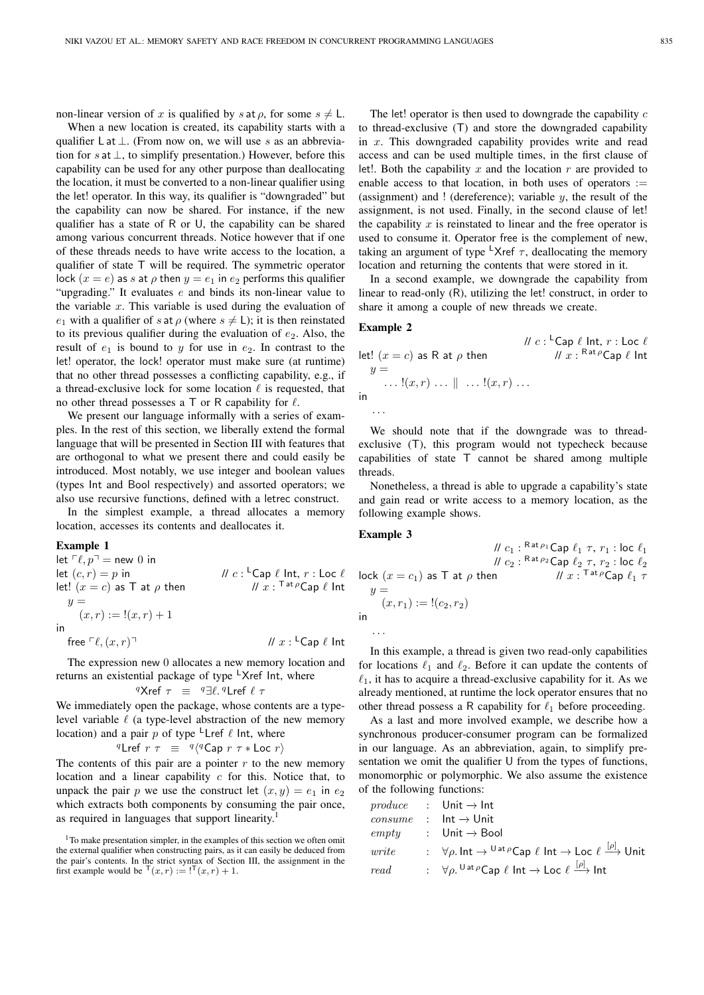non-linear version of x is qualified by s at  $\rho$ , for some  $s \neq L$ .

When a new location is created, its capability starts with a qualifier L at  $\perp$ . (From now on, we will use s as an abbreviation for s at  $\perp$ , to simplify presentation.) However, before this capability can be used for any other purpose than deallocating the location, it must be converted to a non-linear qualifier using the let! operator. In this way, its qualifier is "downgraded" but the capability can now be shared. For instance, if the new qualifier has a state of R or U, the capability can be shared among various concurrent threads. Notice however that if one of these threads needs to have write access to the location, a qualifier of state T will be required. The symmetric operator lock  $(x = e)$  as s at  $\rho$  then  $y = e_1$  in  $e_2$  performs this qualifier "upgrading." It evaluates  $e$  and binds its non-linear value to the variable  $x$ . This variable is used during the evaluation of  $e_1$  with a qualifier of s at  $\rho$  (where  $s \neq L$ ); it is then reinstated to its previous qualifier during the evaluation of  $e_2$ . Also, the result of  $e_1$  is bound to y for use in  $e_2$ . In contrast to the let! operator, the lock! operator must make sure (at runtime) that no other thread possesses a conflicting capability, e.g., if a thread-exclusive lock for some location  $\ell$  is requested, that no other thread possesses a  $\top$  or R capability for  $\ell$ .

We present our language informally with a series of examples. In the rest of this section, we liberally extend the formal language that will be presented in Section III with features that are orthogonal to what we present there and could easily be introduced. Most notably, we use integer and boolean values (types Int and Bool respectively) and assorted operators; we also use recursive functions, defined with a letrec construct.

In the simplest example, a thread allocates a memory location, accesses its contents and deallocates it.

## Example 1

let  $\lceil \ell, p \rceil$  = new 0 in let  $(c, r) = p$  in  $\mathcal{U}c: {}^{\mathsf{L}}$ Cap  $\ell$  Int,  $r:$  Loc  $\ell$ let!  $(x = c)$  as T at  $\rho$  then  $H x:$ <sup>Tat  $\rho$ </sup>Cap  $\ell$  Int  $y =$  $(x, r) := !(x, r) + 1$ in  $||x||^{\mathsf{L}}$ Cap  $\ell$  Int

free  $\lceil \ell, (x, r) \rceil$ 

The expression new 0 allocates a new memory location and returns an existential package of type  $\overline{X}$ ref Int, where

$$
{}^q \text{X} \text{ref} \ \tau \ \equiv \ {}^q \exists \ell \, {}^q \text{L} \text{ref} \ \ell \ \tau
$$

We immediately open the package, whose contents are a typelevel variable  $\ell$  (a type-level abstraction of the new memory location) and a pair p of type  $\mathsf{L}$ Lref  $\ell$  lnt, where

$$
{}^{q}\mathsf{Lref}\; r\;\tau\;\;\equiv\;\;{}^{q}\langle {}^{q}\mathsf{Cap}\; r\;\tau\ast\mathsf{Loc}\; r\rangle
$$

The contents of this pair are a pointer  $r$  to the new memory location and a linear capability  $c$  for this. Notice that, to unpack the pair p we use the construct let  $(x, y) = e_1$  in  $e_2$ which extracts both components by consuming the pair once, as required in languages that support linearity.<sup>1</sup>

<sup>1</sup>To make presentation simpler, in the examples of this section we often omit the external qualifier when constructing pairs, as it can easily be deduced from the pair's contents. In the strict syntax of Section III, the assignment in the first example would be  $\mathsf{T}(x,r) := \mathsf{I}^\mathsf{T}(x,r) + 1$ .

The let! operator is then used to downgrade the capability  $c$ to thread-exclusive (T) and store the downgraded capability in x. This downgraded capability provides write and read access and can be used multiple times, in the first clause of let!. Both the capability x and the location  $r$  are provided to enable access to that location, in both uses of operators  $:=$ (assignment) and ! (dereference); variable  $y$ , the result of the assignment, is not used. Finally, in the second clause of let! the capability  $x$  is reinstated to linear and the free operator is used to consume it. Operator free is the complement of new, taking an argument of type <sup>L</sup>Xref  $\tau$ , deallocating the memory location and returning the contents that were stored in it.

In a second example, we downgrade the capability from linear to read-only (R), utilizing the let! construct, in order to share it among a couple of new threads we create.

# Example 2

$$
||c: {}^{L}Cap \ell \text{ Int, } r: \text{Loc } \ell
$$
  
let!  $(x = c)$  as R at  $\rho$  then  $||x||_{x}: Rat \rho Cap \ell \text{ Int}$   
 $y = ... \cdot [(x, r) ... || ... [(x, r) ...]$   
in ...

We should note that if the downgrade was to threadexclusive (T), this program would not typecheck because capabilities of state T cannot be shared among multiple threads.

Nonetheless, a thread is able to upgrade a capability's state and gain read or write access to a memory location, as the following example shows.

> //  $c_1$ :  $\mathsf{Rat} \rho_1 \mathsf{Cap} \ \ell_1 \ \tau, \ r_1$ : loc  $\ell_1$ //  $c_2$  :  $\mathsf{Rat} \rho_2$  Cap  $\ell_2$   $\tau$ ,  $r_2$  : loc  $\ell_2$

Tat  $\rho$ Cap  $\ell_1$   $\tau$ 

#### Example 3

lock  $(x = c_1)$  as T at  $\rho$  then  $y =$  $(x, r_1) := !(c_2, r_2)$ in

. . .

In this example, a thread is given two read-only capabilities for locations  $\ell_1$  and  $\ell_2$ . Before it can update the contents of  $\ell_1$ , it has to acquire a thread-exclusive capability for it. As we already mentioned, at runtime the lock operator ensures that no other thread possess a R capability for  $\ell_1$  before proceeding.

As a last and more involved example, we describe how a synchronous producer-consumer program can be formalized in our language. As an abbreviation, again, to simplify presentation we omit the qualifier U from the types of functions, monomorphic or polymorphic. We also assume the existence of the following functions:

|              | <i>produce</i> : Unit $\rightarrow$ Int                                                                                                                |
|--------------|--------------------------------------------------------------------------------------------------------------------------------------------------------|
| $\cos x$     | $:$ Int $\rightarrow$ Unit                                                                                                                             |
|              | $empty \t : Unit \rightarrow Bool$                                                                                                                     |
| <i>urite</i> | : $\forall \rho$ . Int $\rightarrow$ <sup>U at <math>\rho</math></sup> Cap $\ell$ Int $\rightarrow$ Loc $\ell \stackrel{[\rho]}{\longrightarrow}$ Unit |
| read         | : $\forall \rho$ , $\bigcup^{\text{Out }} \rho$ Cap $\ell$ Int $\rightarrow$ Loc $\ell \stackrel{[\rho]}{\longrightarrow}$ Int                         |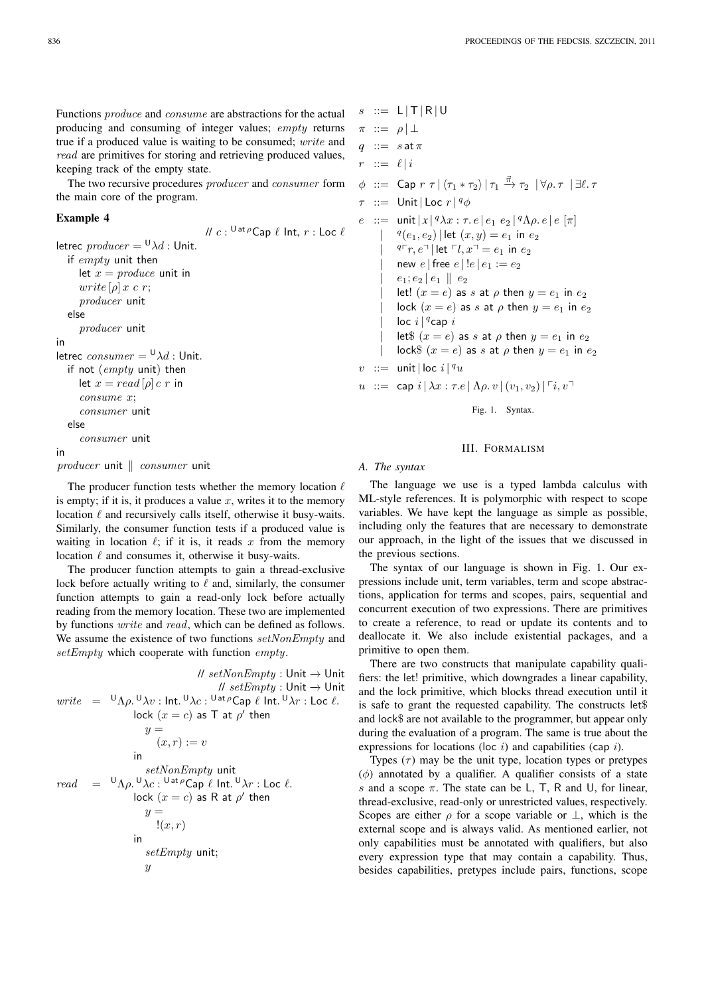Functions produce and consume are abstractions for the actual producing and consuming of integer values; empty returns true if a produced value is waiting to be consumed; write and read are primitives for storing and retrieving produced values, keeping track of the empty state.

The two recursive procedures producer and consumer form the main core of the program.

# Example 4

//  $c:{}^{\mathsf{U}\mathsf{at}\rho}\mathsf{Cap}\ \ell$  Int,  $r: \mathsf{Loc}\ \ell$ letrec  $\text{product} = {}^{\mathsf{U}} \lambda d$ : Unit. if empty unit then let  $x = produce$  unit in write  $[\rho] x c r$ ; producer unit else producer unit in letrec  $\text{cosumer} = {}^{\text{U}}\lambda d$ : Unit. if not (empty unit) then let  $x = read[\rho] c r$  in consume x; consumer unit else consumer unit in producer unit  $\parallel$  consumer unit

The producer function tests whether the memory location  $\ell$ is empty; if it is, it produces a value  $x$ , writes it to the memory location  $\ell$  and recursively calls itself, otherwise it busy-waits. Similarly, the consumer function tests if a produced value is waiting in location  $\ell$ ; if it is, it reads x from the memory location  $\ell$  and consumes it, otherwise it busy-waits.

The producer function attempts to gain a thread-exclusive lock before actually writing to  $\ell$  and, similarly, the consumer function attempts to gain a read-only lock before actually reading from the memory location. These two are implemented by functions write and read, which can be defined as follows. We assume the existence of two functions setNonEmpty and setEmpty which cooperate with function empty.

```
// setNonEmpty : Unit → Unit
                                                // setEmpty: Unit → Unit
write = ^{\cup} \Lambda \rho. ^{\cup} \lambda v : Int. ^{\cup} \lambda c : ^{\cup} at ^{\rho}Cap \ell Int. ^{\cup} \lambda r : Loc \ell.
                        lock (x=c) as T at \rho' then
                          y =(x, r) := vin
                           setNonEmpty unit
read = {}^{U}\Lambda\rho. {}^{U}\lambda c: {}^{U}\sigma^{\dagger}\rho Cap \ell Int. {}^{U}\lambda r : Loc \ell.
                        lock (x = c) as R at \rho' then
                           y =!(x, r)in
                           setEmpty unit;
                           \boldsymbol{u}
```

```
s := L |T| R |U\pi ::= \rho | \perpq := s \text{ at } \pir := \ell | i\phi ::= Cap r \tau |\langle \tau_1 * \tau_2 \rangle | \tau_1 \stackrel{\vec{\pi}}{\rightarrow} \tau_2 | \forall \rho \ldotp \tau | \exists \ell \ldotp \tau\tau ::= Unit | Loc r \mid q \phie ::= unit |x|^q \lambda x : \tau e |e_1 e_2|^q \Lambda \rho e |e|[\pi]| q(e_1, e_2) | let (x, y) = e_1 in e_2|
           q \rceil r, e^{\rceil} | let \lceil l, x \rceil = e_1 in e_2new e | free e | !e | e_1 := e_2|e_1; e_2 | e_1 | | e_2let! (x = e) as s at \rho then y = e_1 in e_2| \text{lock}(x = e) \text{ as } s \text{ at } \rho \text{ then } y = e_1 \text{ in } e_2| \int loc i\int<sup>q</sup>cap i
           let$ (x = e) as s at \rho then y = e_1 in e_2| lock$ (x = e) as s at \rho then y = e_1 in e_2v : = unit | loc i | ^quu ::= cap i | \lambda x : \tau.e | \Lambda \rho.v | (v_1, v_2) | \tau i, v
```
Fig. 1. Syntax.

# III. FORMALISM

#### *A. The syntax*

The language we use is a typed lambda calculus with ML-style references. It is polymorphic with respect to scope variables. We have kept the language as simple as possible, including only the features that are necessary to demonstrate our approach, in the light of the issues that we discussed in the previous sections.

The syntax of our language is shown in Fig. 1. Our expressions include unit, term variables, term and scope abstractions, application for terms and scopes, pairs, sequential and concurrent execution of two expressions. There are primitives to create a reference, to read or update its contents and to deallocate it. We also include existential packages, and a primitive to open them.

There are two constructs that manipulate capability qualifiers: the let! primitive, which downgrades a linear capability, and the lock primitive, which blocks thread execution until it is safe to grant the requested capability. The constructs let\$ and lock\$ are not available to the programmer, but appear only during the evaluation of a program. The same is true about the expressions for locations (loc  $i$ ) and capabilities (cap  $i$ ).

Types  $(\tau)$  may be the unit type, location types or pretypes  $(\phi)$  annotated by a qualifier. A qualifier consists of a state s and a scope  $\pi$ . The state can be L, T, R and U, for linear, thread-exclusive, read-only or unrestricted values, respectively. Scopes are either  $\rho$  for a scope variable or  $\perp$ , which is the external scope and is always valid. As mentioned earlier, not only capabilities must be annotated with qualifiers, but also every expression type that may contain a capability. Thus, besides capabilities, pretypes include pairs, functions, scope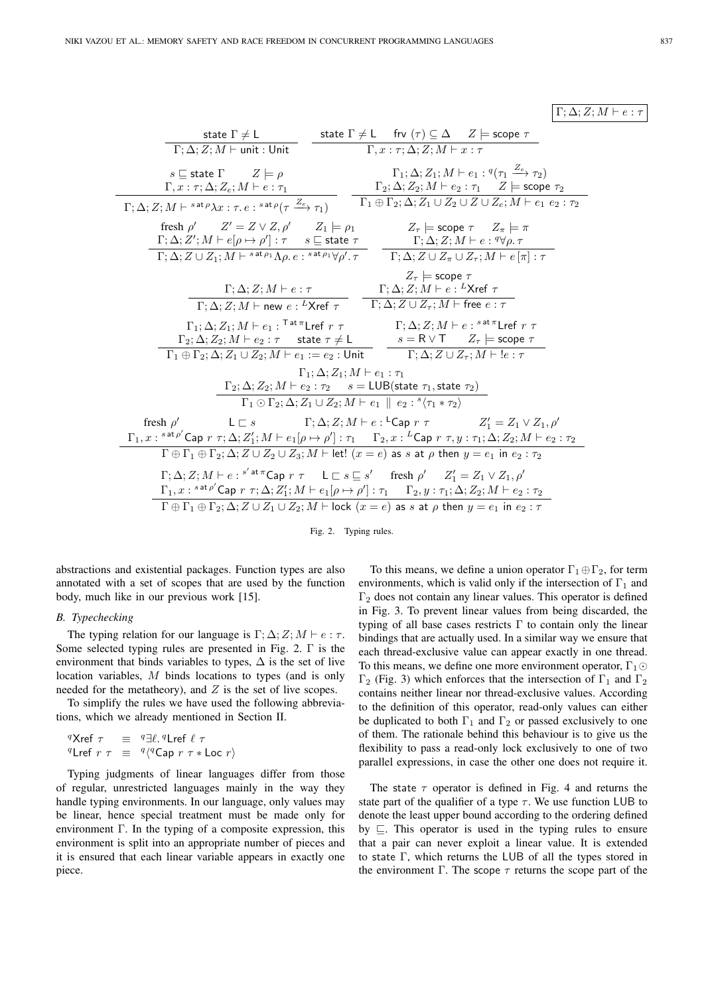# $\Gamma$ ;  $\Delta$ ;  $Z$ ;  $M \vdash e : \tau$

| state $\Gamma \neq L$<br>state $\Gamma \neq L$ frv $(\tau) \subseteq \Delta$ $Z \models$ scope $\tau$                                                                                                                                                                     |  |  |  |
|---------------------------------------------------------------------------------------------------------------------------------------------------------------------------------------------------------------------------------------------------------------------------|--|--|--|
| $\Gamma$ ; $\Delta$ ; $Z$ ; $M \vdash$ unit : Unit<br>$\Gamma, x : \tau : \Delta: Z : M \vdash x : \tau$                                                                                                                                                                  |  |  |  |
|                                                                                                                                                                                                                                                                           |  |  |  |
| $\Gamma_1$ ; $\Delta$ ; $Z_1$ ; $M \vdash e_1$ : $q(\tau_1 \stackrel{Z_e}{\longrightarrow} \tau_2)$<br>$s \sqsubseteq$ state $\Gamma$ $Z \models \rho$                                                                                                                    |  |  |  |
| $\Gamma, x : \tau; \Delta; Z_e; M \vdash e : \tau_1$<br>$\Gamma_2$ ; $\Delta$ ; $Z_2$ ; $M \vdash e_2 : \tau_1 \quad Z \models$ scope $\tau_2$                                                                                                                            |  |  |  |
| $\Gamma_1 \oplus \Gamma_2; \Delta; Z_1 \cup Z_2 \cup Z \cup Z_e; M \vdash e_1 \ e_2 : \tau_2$<br>$\Gamma$ ; $\Delta$ ; $Z$ ; $M \vdash$ s <sup>at <math>\rho \lambda x</math></sup> : $\tau$ . $e :$ <sup>sat <math>\rho</math></sup> ( $\tau \xrightarrow{Z_e} \tau_1$ ) |  |  |  |
| fresh $\rho'$ $Z' = Z \vee Z, \rho'$ $Z_1 \models \rho_1$ $Z_\tau \models$ scope $\tau$ $Z_\pi \models \pi$                                                                                                                                                               |  |  |  |
| $\Gamma ; \Delta ; Z'; M \vdash e [\rho \mapsto \rho'] : \tau \quad \  \  s \sqsubseteq {\sf state} \ \tau \qquad \qquad \Gamma ; \Delta ; Z ; M \vdash e : {}^q \forall \rho . \ \tau$                                                                                   |  |  |  |
| $\Gamma; \Delta; Z \cup Z_1; M \vdash^{sat\rho_1} \Lambda \rho \ldotp e :^{sat\rho_1} \forall \rho' \ldotp \tau$ $\Gamma; \Delta; Z \cup Z_{\pi} \cup Z_{\tau}; M \vdash e[\pi] : \tau$                                                                                   |  |  |  |
| $Z_{\tau}$ = scope $\tau$                                                                                                                                                                                                                                                 |  |  |  |
| $\Gamma ; \Delta ; Z ; M \vdash e : \tau \qquad \qquad \Gamma ; \Delta ; Z ; M \vdash e : {}^L \mathsf{X} \mathsf{ref} \ \tau$                                                                                                                                            |  |  |  |
| $\Gamma; \Delta; Z; M \vdash$ new $e: {}^L \mathsf{X}$ ref $\tau$ $\Gamma; \Delta; Z \cup \overline{Z_{\tau}}; M \vdash$ free $e: \tau$                                                                                                                                   |  |  |  |
| $\Gamma_1; \Delta; Z_1; M \vdash e_1$ : $\Gamma^{\text{at } \pi}$ Lref $r \tau$ $\Gamma; \Delta; Z; M \vdash e$ : ${}^{s \text{at } \pi}$ Lref $r \tau$                                                                                                                   |  |  |  |
| $\Gamma_2$ ; $\Delta$ ; $Z_2$ ; $M \vdash e_2 : \tau$ state $\tau \neq L$ $s = R \vee T$ $Z_{\tau}$ $\models$ scope $\tau$                                                                                                                                                |  |  |  |
| $\Gamma_1 \oplus \Gamma_2; \Delta; Z_1 \cup Z_2; M \vdash e_1 := e_2$ : Unit $\Gamma; \Delta; Z \cup Z_\tau; M \vdash ! e : \tau$                                                                                                                                         |  |  |  |
| $\Gamma_1$ ; $\Delta$ ; $Z_1$ ; $M \vdash e_1 : \tau_1$                                                                                                                                                                                                                   |  |  |  |
| $\Gamma_2$ ; $\Delta$ ; $Z_2$ ; $M \vdash e_2 : \tau_2$ $s = LUB(\text{state } \tau_1, \text{state } \tau_2)$                                                                                                                                                             |  |  |  |
| $\Gamma_1 \odot \Gamma_2; \Delta; Z_1 \cup Z_2; M \vdash e_1 \parallel e_2 : {^s\langle} \tau_1 * \tau_2 \rangle$                                                                                                                                                         |  |  |  |
| $L \sqsubset s$ $\Gamma; \Delta; Z; M \vdash e : {}^{\mathsf{L}}$ Cap $r \tau$ $Z'_1 = Z_1 \vee Z_1, \rho'$<br>fresh $\rho'$                                                                                                                                              |  |  |  |
| $\Gamma_1, x:$ sat $\rho'$ Cap $r \tau$ ; $\Delta$ ; $Z'_1$ ; $M \vdash e_1[\rho \mapsto \rho'] : \tau_1 \quad \Gamma_2, x: {}^L$ Cap $r \tau$ , $y: \tau_1$ ; $\Delta$ ; $Z_2$ ; $M \vdash e_2 : \tau_2$                                                                 |  |  |  |
| $\Gamma \oplus \Gamma_1 \oplus \Gamma_2$ ; $\Delta$ ; $Z \cup Z_2 \cup Z_3$ ; $M \vdash$ let! $(x = e)$ as s at $\rho$ then $y = e_1$ in $e_2 : \tau_2$                                                                                                                   |  |  |  |
|                                                                                                                                                                                                                                                                           |  |  |  |
| $\Gamma$ ; $\Delta$ ; $Z$ ; $M \vdash e : s'$ at $\pi$ Cap $r \tau$ $\bot \sqsubset s \sqsubseteq s'$ fresh $\rho'$ $Z'_1 = Z_1 \vee Z_1$ , $\rho'$                                                                                                                       |  |  |  |
| $\Gamma_1, x : s^{at\rho'}$ Cap $r \tau; \Delta; Z'_1; M \vdash e_1[\rho \mapsto \rho'] : \tau_1 \quad \Gamma_2, y : \tau_1; \Delta; Z_2; M \vdash e_2 : \tau_2$                                                                                                          |  |  |  |
| $\Gamma \oplus \Gamma_1 \oplus \Gamma_2$ ; $\Delta$ ; $Z \cup Z_1 \cup Z_2$ ; $M \vdash$ lock $(x = e)$ as s at $\rho$ then $y = e_1$ in $e_2 : \tau$                                                                                                                     |  |  |  |

Fig. 2. Typing rules.

abstractions and existential packages. Function types are also annotated with a set of scopes that are used by the function body, much like in our previous work [15].

# *B. Typechecking*

The typing relation for our language is  $\Gamma$ ;  $\Delta$ ;  $Z$ ;  $M \vdash e : \tau$ . Some selected typing rules are presented in Fig. 2. Γ is the environment that binds variables to types,  $\Delta$  is the set of live location variables, M binds locations to types (and is only needed for the metatheory), and  $Z$  is the set of live scopes.

To simplify the rules we have used the following abbreviations, which we already mentioned in Section II.

<sup>q</sup>Xref 
$$
\tau \equiv q \exists \ell
$$
.<sup>q</sup>Lref  $\ell \tau$   
\n<sup>q</sup>Lref  $r \tau \equiv q \langle q \text{Cap } r \tau * \text{Loc } r \rangle$ 

Typing judgments of linear languages differ from those of regular, unrestricted languages mainly in the way they handle typing environments. In our language, only values may be linear, hence special treatment must be made only for environment  $\Gamma$ . In the typing of a composite expression, this environment is split into an appropriate number of pieces and it is ensured that each linear variable appears in exactly one piece.

To this means, we define a union operator  $\Gamma_1 \oplus \Gamma_2$ , for term environments, which is valid only if the intersection of  $\Gamma_1$  and  $\Gamma_2$  does not contain any linear values. This operator is defined in Fig. 3. To prevent linear values from being discarded, the typing of all base cases restricts  $\Gamma$  to contain only the linear bindings that are actually used. In a similar way we ensure that each thread-exclusive value can appear exactly in one thread. To this means, we define one more environment operator,  $\Gamma_1 \odot$ Γ<sub>2</sub> (Fig. 3) which enforces that the intersection of Γ<sub>1</sub> and Γ<sub>2</sub> contains neither linear nor thread-exclusive values. According to the definition of this operator, read-only values can either be duplicated to both  $\Gamma_1$  and  $\Gamma_2$  or passed exclusively to one of them. The rationale behind this behaviour is to give us the flexibility to pass a read-only lock exclusively to one of two parallel expressions, in case the other one does not require it.

The state  $\tau$  operator is defined in Fig. 4 and returns the state part of the qualifier of a type  $\tau$ . We use function LUB to denote the least upper bound according to the ordering defined by ⊑. This operator is used in the typing rules to ensure that a pair can never exploit a linear value. It is extended to state Γ, which returns the LUB of all the types stored in the environment  $\Gamma$ . The scope  $\tau$  returns the scope part of the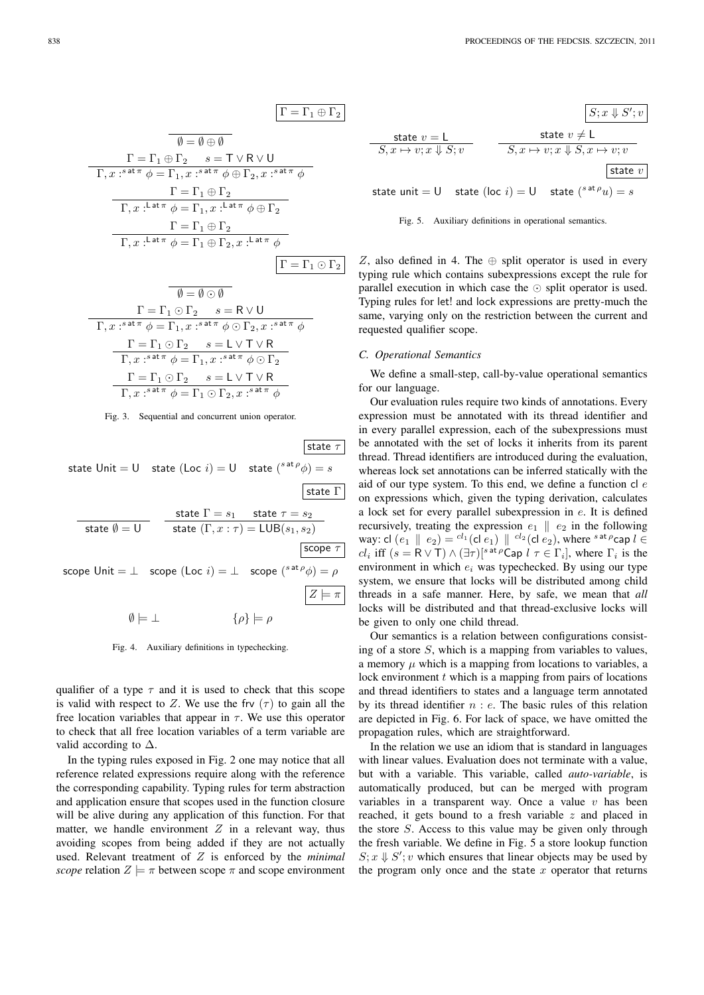

$$
\psi = \psi \odot \psi
$$
\n
$$
\Gamma = \Gamma_1 \odot \Gamma_2 \qquad s = \mathsf{R} \vee \mathsf{U}
$$
\n
$$
\Gamma, x : s^{\text{at } \pi} \phi = \Gamma_1, x : s^{\text{at } \pi} \phi \odot \Gamma_2, x : s^{\text{at } \pi} \phi
$$
\n
$$
\frac{\Gamma = \Gamma_1 \odot \Gamma_2 \qquad s = \mathsf{L} \vee \mathsf{T} \vee \mathsf{R}}{\Gamma, x : s^{\text{at } \pi} \phi = \Gamma_1, x : s^{\text{at } \pi} \phi \odot \Gamma_2}
$$
\n
$$
\frac{\Gamma = \Gamma_1 \odot \Gamma_2 \qquad s = \mathsf{L} \vee \mathsf{T} \vee \mathsf{R}}{\Gamma, x : s^{\text{at } \pi} \phi = \Gamma_1 \odot \Gamma_2, x : s^{\text{at } \pi} \phi}
$$

Fig. 3. Sequential and concurrent union operator.

state  $\tau$ state Unit  $=$  U  $\;$  state (Loc  $i) = U \;$  state  $({}^{s \text{ at } \rho} \phi) = s$ state Γ state  $\emptyset = \mathsf{U}$ state  $\Gamma=s_1$  state  $\tau=s_2$ state  $(\Gamma, x : \tau) = {\sf LUB}(s_1, s_2)$  $\sqrt{\text{scope } \tau}$ scope Unit =  $\perp$  scope (Loc  $i$ ) =  $\perp$  scope  $({}^{s \text{ at } \rho} \phi) = \rho$  $Z \models \pi$  $\emptyset \models \bot$   $\{\rho\} \models \rho$ 

Fig. 4. Auxiliary definitions in typechecking.

qualifier of a type  $\tau$  and it is used to check that this scope is valid with respect to Z. We use the frv  $(\tau)$  to gain all the free location variables that appear in  $\tau$ . We use this operator to check that all free location variables of a term variable are valid according to  $\Delta$ .

In the typing rules exposed in Fig. 2 one may notice that all reference related expressions require along with the reference the corresponding capability. Typing rules for term abstraction and application ensure that scopes used in the function closure will be alive during any application of this function. For that matter, we handle environment  $Z$  in a relevant way, thus avoiding scopes from being added if they are not actually used. Relevant treatment of Z is enforced by the *minimal scope* relation  $Z \models \pi$  between scope  $\pi$  and scope environment

| State $v = L$                                                                | state $v \neq L$                                 |
|------------------------------------------------------------------------------|--------------------------------------------------|
| $S, x \mapsto v; x \Downarrow S; v$                                          | $S, x \mapsto v; x \Downarrow S, x \mapsto v; v$ |
| state unit = U state (loc $i$ ) = U state $\left( s^{at} \rho u \right) = s$ |                                                  |

Fig. 5. Auxiliary definitions in operational semantics.

Z, also defined in 4. The  $\oplus$  split operator is used in every typing rule which contains subexpressions except the rule for parallel execution in which case the ⊙ split operator is used. Typing rules for let! and lock expressions are pretty-much the same, varying only on the restriction between the current and requested qualifier scope.

# *C. Operational Semantics*

We define a small-step, call-by-value operational semantics for our language.

Our evaluation rules require two kinds of annotations. Every expression must be annotated with its thread identifier and in every parallel expression, each of the subexpressions must be annotated with the set of locks it inherits from its parent thread. Thread identifiers are introduced during the evaluation, whereas lock set annotations can be inferred statically with the aid of our type system. To this end, we define a function  $cl$   $e$ on expressions which, given the typing derivation, calculates a lock set for every parallel subexpression in e. It is defined recursively, treating the expression  $e_1 \parallel e_2$  in the following way: cl  $(e_1 \parallel e_2) = {}^{cl_1}(\text{cl } e_1) \parallel {}^{cl_2}(\text{cl } e_2)$ , where  ${}^{s \text{ at } \rho}$ cap  $l \in$ cl<sub>i</sub> iff  $(s = R \vee T) \wedge (\exists \tau) [s^{at} \rho \text{Cap } l \tau \in \Gamma_i]$ , where  $\Gamma_i$  is the environment in which  $e_i$  was typechecked. By using our type system, we ensure that locks will be distributed among child threads in a safe manner. Here, by safe, we mean that *all* locks will be distributed and that thread-exclusive locks will be given to only one child thread.

Our semantics is a relation between configurations consisting of a store  $S$ , which is a mapping from variables to values, a memory  $\mu$  which is a mapping from locations to variables, a lock environment  $t$  which is a mapping from pairs of locations and thread identifiers to states and a language term annotated by its thread identifier  $n : e$ . The basic rules of this relation are depicted in Fig. 6. For lack of space, we have omitted the propagation rules, which are straightforward.

In the relation we use an idiom that is standard in languages with linear values. Evaluation does not terminate with a value, but with a variable. This variable, called *auto-variable*, is automatically produced, but can be merged with program variables in a transparent way. Once a value  $v$  has been reached, it gets bound to a fresh variable  $z$  and placed in the store S. Access to this value may be given only through the fresh variable. We define in Fig. 5 a store lookup function  $S; x \Downarrow S'; v$  which ensures that linear objects may be used by the program only once and the state  $x$  operator that returns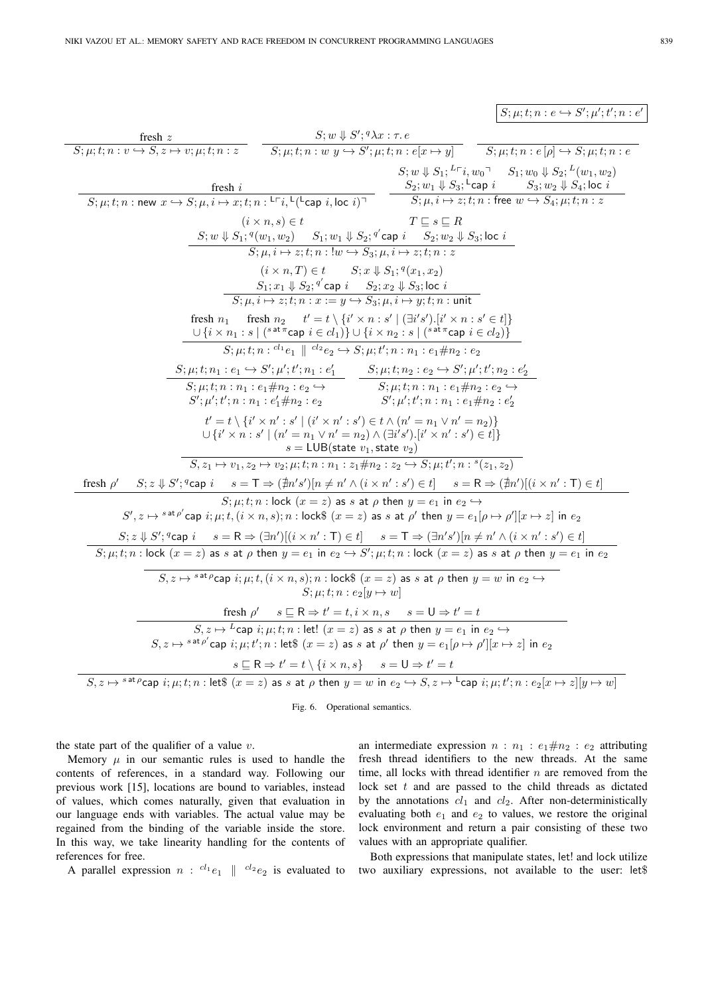$S; \mu; t; n : e \hookrightarrow S'; \mu'; t'; n : e'$ 

fresh z  $S; \mu; t; n : v \hookrightarrow S, z \mapsto v; \mu; t; n : z$  $S; w \Downarrow S'; {}^q\lambda x : \tau e$  $\overline{S;\mu;t;n:w\ y \hookrightarrow S';\mu;t;n:e[x \mapsto y]}$   $\overline{S;\mu;t;n:e[\rho] \hookrightarrow S;\mu;t;n:e[y]}$ fresh i  $S; \mu; t; n: \text{new } x \hookrightarrow S; \mu, i \mapsto x; t; n: {}^{\mathsf{L}}\mathsf{\Gamma} i, {}^{\mathsf{L}}({}^{\mathsf{L}}\mathsf{cap} i, \textsf{loc } i)^\mathsf{T}$  $S; w \Downarrow S_1; {}^{L\sqsubset}i, w_0 \sqsupset S_1; w_0 \Downarrow S_2; {}^{L}(w_1, w_2)$  $S_2; w_1 \Downarrow S_3;$ <sup>L</sup>cap  $i$   $S_3; w_2 \Downarrow S_4;$  loc  $i$  $S; \mu, i \mapsto z; t; n$  : free  $w \hookrightarrow S_4; \mu; t; n: z$  $(i \times n, s) \in t$   $T \sqsubseteq s \sqsubseteq R$  $S; w \Downarrow S_1; {}^q(w_1, w_2) \quad \ \ S_1; w_1 \Downarrow S_2; {}^{q'}$ cap  $i \quad \ \ \overline{S_2; w_2 \Downarrow S_3};$ loc  $i$  $S; \mu, i \mapsto z; t; n : !w \hookrightarrow S_3; \mu, i \mapsto z; t; n : z$  $(i \times n, T) \in t$   $S; x \Downarrow S_1;$ <sup>q</sup> $(x_1, x_2)$  $S_1; x_1 \Downarrow S_2; {^{q'}}$ cap  $i$   $S_2; x_2 \Downarrow S_3;$  loc  $i$  $S; \mu, i \mapsto z; t; n : x := y \hookrightarrow S_3; \mu, i \mapsto y; t; n :$  unit fresh  $n_1$  fresh  $n_2$   $t' = t \setminus \{i' \times n : s' \mid (\exists i's').[i' \times n : s' \in t]\}$  $\cup \,\{ i \times n_1 : s \mid ({}^{s\,\texttt{at}\,\pi}$ cap  $\,i \in cl_1) \} \cup \{ i \times n_2 : s \mid ({}^{s\,\texttt{at}\,\pi}$ cap  $\,i \in cl_2) \}$  $S; \mu; t; n : {}^{cl_1}e_1 \parallel {}^{cl_2}e_2 \hookrightarrow S; \mu; t'; n : n_1 : e_1 \# n_2 : e_2$  $S; \mu; t; n_1 : e_1 \hookrightarrow S'; \mu'; t'; n_1 : e'_1$  $S; \mu; t; n : n_1 : e_1 \# n_2 : e_2 \hookrightarrow$  $S'; \mu'; t'; n : n_1 : e'_1 \# n_2 : e_2$  $S; \mu; t; n_2 : e_2 \hookrightarrow S'; \mu'; t'; n_2 : e'_2$  $S; \mu; t; n : n_1 : e_1 \# n_2 : e_2 \hookrightarrow$  $S'; \mu'; t'; n : n_1 : e_1 \# n_2 : e_2'$  $t' = t \setminus \{i' \times n' : s' \mid (i' \times n' : s') \in t \wedge (n' = n_1 \vee n' = n_2)\}\$  $\cup \left\{ i^{\prime }\times \stackrel{\leftarrow}{n}:s^{\prime}\mid (n^{\prime }=n_{1}\vee n^{\prime }=n_{2})\wedge (\exists i^{\prime }s^{\prime }).[i^{\prime }\times n^{\prime}:s^{\prime})\in t]\right\}$  $s = LUB(\text{state } v_1, \text{state } v_2)$  $S, z_1 \mapsto v_1, z_2 \mapsto v_2; \mu; t; n : n_1 : z_1 \# n_2 : z_2 \hookrightarrow S; \mu; t'; n : {^s(z_1, z_2)}$ fresh  $\rho'$   $S; z \Downarrow S';$ <sup>q</sup>cap  $i$   $s = \mathsf{T} \Rightarrow (\nexists n's') [n \neq n' \land (i \times n' : s') \in t]$   $s = \mathsf{R} \Rightarrow (\nexists n') [(i \times n' : \mathsf{T}) \in t]$  $S; \mu; t; n$ : lock  $(x = z)$  as s at  $\rho$  then  $y = e_1$  in  $e_2 \hookrightarrow$  $S', z \mapsto {}^{s \, \mathtt{at} \, \rho'}$ cap  $i; \mu; t, (i \times n, s); n:$  lock $\$$   $(x = z)$  as  $s$  at  $\rho'$  then  $y = e_{1}[\rho \mapsto \rho'][x \mapsto z]$  in  $e_{2}$  $S; z \downarrow S';$ <sup>q</sup>cap  $i \quad s = \mathsf{R} \Rightarrow (\exists n')[(i \times n' : \mathsf{T}) \in t] \quad s = \mathsf{T} \Rightarrow (\exists n's')[n \neq n' \land (i \times n' : s') \in t]$  $S; \mu; t; n :$  lock  $(x = z)$  as s at  $\rho$  then  $y = e_1$  in  $e_2 \hookrightarrow S'; \mu; t; n :$  lock  $(x = z)$  as s at  $\rho$  then  $y = e_1$  in  $e_2$  $S, z \mapsto {}^{s \text{ at } \rho}$ cap  $i; \mu; t, (i \times n, s); n : \text{lock}\$(x = z) \text{ as } s \text{ at } \rho \text{ then } y = w \text{ in } e_2 \hookrightarrow$  $S: u: t: n : e_2[u \mapsto w]$ fresh  $\rho'$   $s \sqsubseteq R \Rightarrow t' = t, i \times n, s$   $s = 0 \Rightarrow t' = t$  $S, z \mapsto {}^L\mathsf{cap}~ i; \mu; t; n : \mathsf{let}! \,\,(x = z)$  as  $s$  at  $\rho$  then  $y = e_1$  in  $e_2 \hookrightarrow$  $S, z \mapsto {}^{s \, \mathtt{at} \, \rho'}$ cap  $i; \mu; t'; n : \mathsf{let\$} \; (x = z)$  as  $s$  at  $\rho'$  then  $y = e_1[\rho \mapsto \rho'] [x \mapsto z]$  in  $e_2$  $s \sqsubseteq R \Rightarrow t' = t \setminus \{i \times n, s\} \quad s = \mathsf{U} \Rightarrow t' = t$  $S, z \mapsto {}^{s \text{ at } \rho}$ cap  $i; \mu; t; n : \text{let}\$   $(x = z)$  as  $s$  at  $\rho$  then  $y = w$  in  $e_2 \hookrightarrow S, z \mapsto {}^{\mathsf{L}}$ cap  $i; \mu; t'; n : e_2[x \mapsto z][y \mapsto w]$ 

Fig. 6. Operational semantics.

the state part of the qualifier of a value  $v$ .

Memory  $\mu$  in our semantic rules is used to handle the contents of references, in a standard way. Following our previous work [15], locations are bound to variables, instead of values, which comes naturally, given that evaluation in our language ends with variables. The actual value may be regained from the binding of the variable inside the store. In this way, we take linearity handling for the contents of references for free.

A parallel expression  $n: \text{ }^{cl_1}e_1 \parallel \text{ }^{cl_2}e_2$  is evaluated to

an intermediate expression  $n : n_1 : e_1 \# n_2 : e_2$  attributing fresh thread identifiers to the new threads. At the same time, all locks with thread identifier  $n$  are removed from the lock set  $t$  and are passed to the child threads as dictated by the annotations  $cl_1$  and  $cl_2$ . After non-deterministically evaluating both  $e_1$  and  $e_2$  to values, we restore the original lock environment and return a pair consisting of these two values with an appropriate qualifier.

Both expressions that manipulate states, let! and lock utilize two auxiliary expressions, not available to the user: let\$